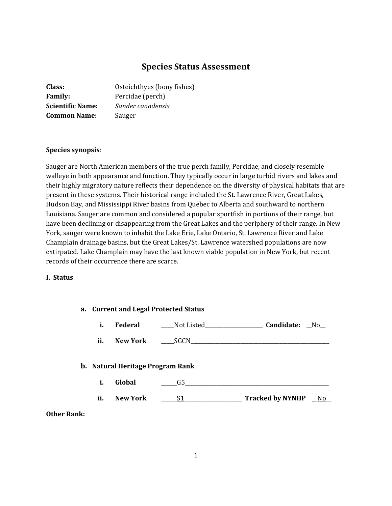# **Species Status Assessment**

| Class:                  | Osteichthyes (bony fishes) |
|-------------------------|----------------------------|
| <b>Family:</b>          | Percidae (perch)           |
| <b>Scientific Name:</b> | Sander canadensis          |
| <b>Common Name:</b>     | Sauger                     |

#### **Species synopsis**:

Sauger are North American members of the true perch family, Percidae, and closely resemble walleye in both appearance and function. They typically occur in large turbid rivers and lakes and their highly migratory nature reflects their dependence on the diversity of physical habitats that are present in these systems. Their historical range included the St. Lawrence River, Great Lakes, Hudson Bay, and Mississippi River basins from Quebec to Alberta and southward to northern Louisiana. Sauger are common and considered a popular sportfish in portions of their range, but have been declining or disappearing from the Great Lakes and the periphery of their range. In New York, sauger were known to inhabit the Lake Erie, Lake Ontario, St. Lawrence River and Lake Champlain drainage basins, but the Great Lakes/St. Lawrence watershed populations are now extirpated. Lake Champlain may have the last known viable population in New York, but recent records of their occurrence there are scarce.

#### **I. Status**

|    | a. Current and Legal Protected Status |                                         |             |                     |
|----|---------------------------------------|-----------------------------------------|-------------|---------------------|
|    | i.                                    | Federal                                 | Not Listed  | Candidate:<br>No.   |
|    | ii.                                   | <b>New York</b>                         | <b>SGCN</b> |                     |
|    |                                       | <b>b.</b> Natural Heritage Program Rank |             |                     |
|    | i.                                    | Global                                  | G5          |                     |
|    | ii.                                   | <b>New York</b>                         | S1          | Tracked by NYNHP No |
| k: |                                       |                                         |             |                     |

#### **Other Rank**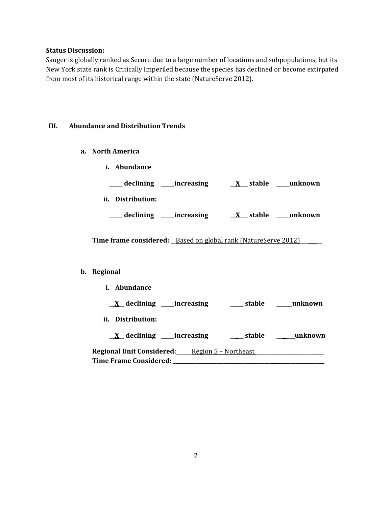#### **Status Discussion:**

Sauger is globally ranked as Secure due to a large number of locations and subpopulations, but its New York state rank is Critically Imperiled because the species has declined or become extirpated from most of its historical range within the state (NatureServe 2012).

#### **III. Abundance and Distribution Trends**

- **a. North America**
	- **i. Abundance**

| declining | increasing | stable | unknown |
|-----------|------------|--------|---------|
|-----------|------------|--------|---------|

**ii. Distribution:**

**\_\_\_\_\_ declining \_\_\_\_\_increasing \_\_X\_\_\_ stable \_\_\_\_\_unknown**

**Time frame considered:** \_Based on global rank (NatureServe 2012) \_\_\_\_

#### **b. Regional**

**i. Abundance \_\_X\_\_ declining \_\_\_\_\_increasing \_\_\_\_\_ stable \_\_\_\_\_\_unknown ii. Distribution: \_\_X\_\_ declining \_\_\_\_\_increasing \_\_\_\_\_ stable \_\_\_\_\_\_\_unknown Regional Unit Considered:\_\_\_\_\_\_**Region 5 – Northeast **\_\_\_\_\_\_\_\_\_\_\_\_\_\_\_\_\_\_\_\_\_\_\_\_\_\_ Time Frame Considered: \_\_\_\_\_\_\_\_\_\_\_\_\_\_\_\_\_\_\_\_\_\_\_\_\_\_\_\_\_\_\_\_\_\_\_\_\_ \_\_\_\_\_\_\_\_\_\_\_\_\_\_\_\_\_\_**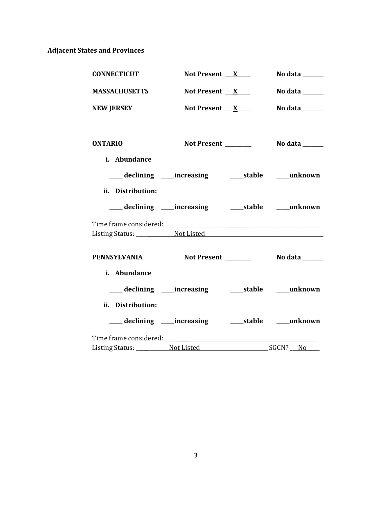# **Adjacent States and Provinces**

| <b>CONNECTICUT</b>                              | Not Present $X$                                           | No data ______  |
|-------------------------------------------------|-----------------------------------------------------------|-----------------|
| <b>MASSACHUSETTS</b>                            | Not Present $X$                                           | No data ______  |
| <b>NEW JERSEY</b>                               | Not Present $X$                                           | No data $\_\_$  |
| <b>ONTARIO</b>                                  | Not Present ______                                        | No data _______ |
| i. Abundance                                    |                                                           |                 |
|                                                 | ___ declining ___ increasing ____ stable ___ unknown      |                 |
| ii. Distribution:                               |                                                           |                 |
|                                                 |                                                           |                 |
|                                                 |                                                           |                 |
|                                                 |                                                           |                 |
| PENNSYLVANIA Not Present ________ No data _____ |                                                           |                 |
| i. Abundance                                    |                                                           |                 |
|                                                 |                                                           |                 |
| ii. Distribution:                               |                                                           |                 |
|                                                 | ___ declining ____ increasing ______ stable _____ unknown |                 |
|                                                 |                                                           |                 |
|                                                 |                                                           |                 |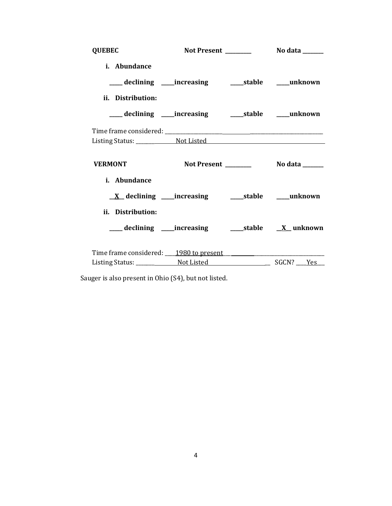| <b>QUEBEC</b>  |                   |                                                            |  |
|----------------|-------------------|------------------------------------------------------------|--|
|                | i. Abundance      |                                                            |  |
|                |                   | ___ declining ____increasing ______stable ____unknown      |  |
|                | ii. Distribution: |                                                            |  |
|                |                   |                                                            |  |
|                |                   |                                                            |  |
|                |                   |                                                            |  |
| <b>VERMONT</b> |                   |                                                            |  |
|                | i. Abundance      |                                                            |  |
|                |                   | <u>X</u> declining ____increasing ______stable ____unknown |  |
|                |                   |                                                            |  |
|                | ii. Distribution: |                                                            |  |
|                |                   |                                                            |  |
|                |                   | Time frame considered: 1980 to present                     |  |

Sauger is also present in Ohio (S4), but not listed.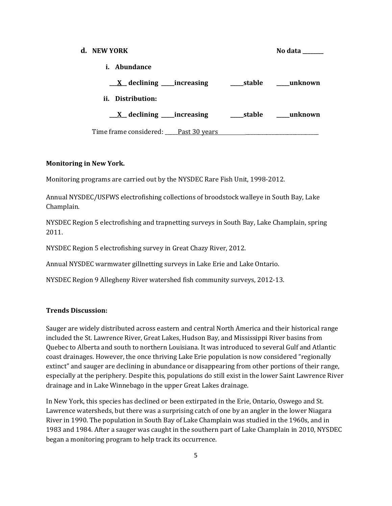# **d. NEW YORK No data \_\_\_\_\_\_\_\_ i. Abundance \_\_\_X\_\_ declining \_\_\_\_\_increasing \_\_\_\_\_stable \_\_\_\_\_unknown ii. Distribution: \_\_\_X\_\_ declining \_\_\_\_\_increasing \_\_\_\_\_stable \_\_\_\_\_unknown** Time frame considered: Past 30 years

#### **Monitoring in New York.**

Monitoring programs are carried out by the NYSDEC Rare Fish Unit, 1998-2012.

Annual NYSDEC/USFWS electrofishing collections of broodstock walleye in South Bay, Lake Champlain.

NYSDEC Region 5 electrofishing and trapnetting surveys in South Bay, Lake Champlain, spring 2011.

NYSDEC Region 5 electrofishing survey in Great Chazy River, 2012.

Annual NYSDEC warmwater gillnetting surveys in Lake Erie and Lake Ontario.

NYSDEC Region 9 Allegheny River watershed fish community surveys, 2012-13.

#### **Trends Discussion:**

Sauger are widely distributed across eastern and central North America and their historical range included the St. Lawrence River, Great Lakes, Hudson Bay, and Mississippi River basins from Quebec to Alberta and south to northern Louisiana. It was introduced to several Gulf and Atlantic coast drainages. However, the once thriving Lake Erie population is now considered "regionally extinct" and sauger are declining in abundance or disappearing from other portions of their range, especially at the periphery. Despite this, populations do still exist in the lower Saint Lawrence River drainage and in Lake Winnebago in the upper Great Lakes drainage.

In New York, this species has declined or been extirpated in the Erie, Ontario, Oswego and St. Lawrence watersheds, but there was a surprising catch of one by an angler in the lower Niagara River in 1990. The population in South Bay of Lake Champlain was studied in the 1960s, and in 1983 and 1984. After a sauger was caught in the southern part of Lake Champlain in 2010, NYSDEC began a monitoring program to help track its occurrence.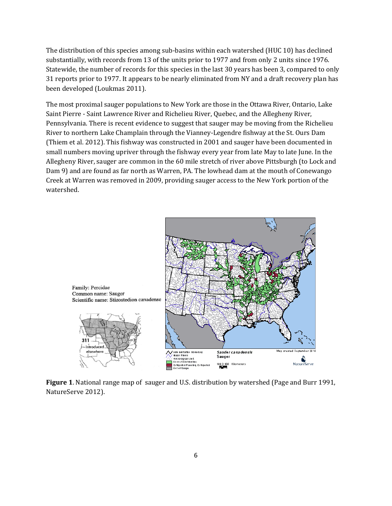The distribution of this species among sub-basins within each watershed (HUC 10) has declined substantially, with records from 13 of the units prior to 1977 and from only 2 units since 1976. Statewide, the number of records for this species in the last 30 years has been 3, compared to only 31 reports prior to 1977. It appears to be nearly eliminated from NY and a draft recovery plan has been developed (Loukmas 2011).

The most proximal sauger populations to New York are those in the Ottawa River, Ontario, Lake Saint Pierre - Saint Lawrence River and Richelieu River, Quebec, and the Allegheny River, Pennsylvania. There is recent evidence to suggest that sauger may be moving from the Richelieu River to northern Lake Champlain through the Vianney-Legendre fishway at the St. Ours Dam (Thiem et al. 2012). This fishway was constructed in 2001 and sauger have been documented in small numbers moving upriver through the fishway every year from late May to late June. In the Allegheny River, sauger are common in the 60 mile stretch of river above Pittsburgh (to Lock and Dam 9) and are found as far north as Warren, PA. The lowhead dam at the mouth of Conewango Creek at Warren was removed in 2009, providing sauger access to the New York portion of the watershed.



**Figure 1**. National range map of sauger and U.S. distribution by watershed (Page and Burr 1991, NatureServe 2012).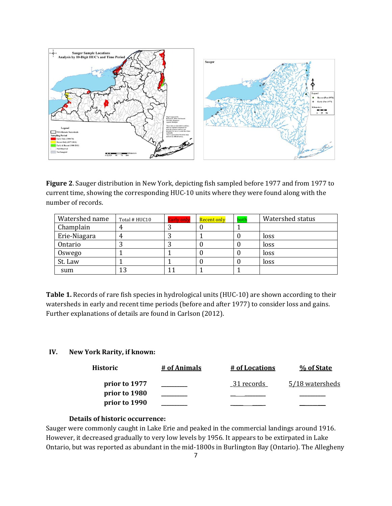

**Figure 2**. Sauger distribution in New York, depicting fish sampled before 1977 and from 1977 to current time, showing the corresponding HUC-10 units where they were found along with the number of records.

| Watershed name | Total # HUC10 | <b>Early only</b> | Recent only | both | Watershed status |
|----------------|---------------|-------------------|-------------|------|------------------|
| Champlain      |               | ت                 |             |      |                  |
| Erie-Niagara   |               |                   |             |      | loss             |
| Ontario        |               | . .               |             |      | loss             |
| Oswego         |               |                   |             |      | loss             |
| St. Law        |               |                   |             |      | loss             |
| sum            | 13            |                   |             |      |                  |

**Table 1.** Records of rare fish species in hydrological units (HUC-10) are shown according to their watersheds in early and recent time periods (before and after 1977) to consider loss and gains. Further explanations of details are found in Carlson (2012).

# **IV. New York Rarity, if known:**

| Historic      | # of Animals | # of Locations | % of State      |
|---------------|--------------|----------------|-----------------|
| prior to 1977 |              | 31 records     | 5/18 watersheds |
| prior to 1980 |              |                |                 |
| prior to 1990 |              |                |                 |

#### **Details of historic occurrence:**

Sauger were commonly caught in Lake Erie and peaked in the commercial landings around 1916. However, it decreased gradually to very low levels by 1956. It appears to be extirpated in Lake Ontario, but was reported as abundant in the mid-1800s in Burlington Bay (Ontario). The Allegheny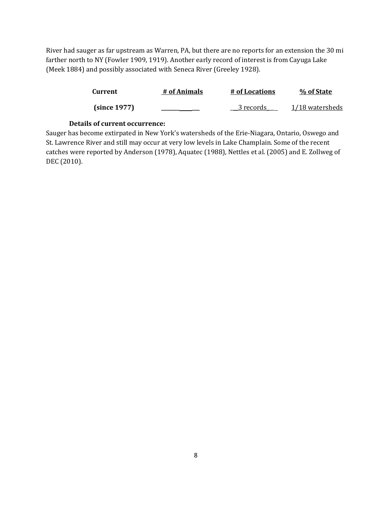River had sauger as far upstream as Warren, PA, but there are no reports for an extension the 30 mi farther north to NY (Fowler 1909, 1919). Another early record of interest is from Cayuga Lake (Meek 1884) and possibly associated with Seneca River (Greeley 1928).

| <b>Current</b> | # of Animals | # of Locations | % of State      |
|----------------|--------------|----------------|-----------------|
| (since 1977)   |              | 3 records      | 1/18 watersheds |

# **Details of current occurrence:**

Sauger has become extirpated in New York's watersheds of the Erie-Niagara, Ontario, Oswego and St. Lawrence River and still may occur at very low levels in Lake Champlain. Some of the recent catches were reported by Anderson (1978), Aquatec (1988), Nettles et al. (2005) and E. Zollweg of DEC (2010).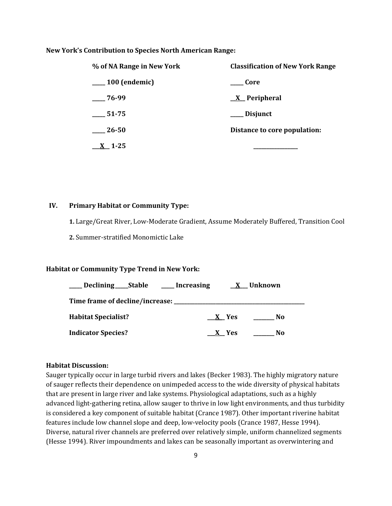#### **New York's Contribution to Species North American Range:**

| % of NA Range in New York | <b>Classification of New York Range</b> |
|---------------------------|-----------------------------------------|
| ___ 100 (endemic)         | <b>Core</b>                             |
| $-76-99$                  | $\underline{X}$ Peripheral              |
| 51-75                     | ___ Disjunct                            |
| 26-50                     | Distance to core population:            |
| $X_{-}$ 1-25              |                                         |

#### **IV. Primary Habitat or Community Type:**

**1.** Large/Great River, Low-Moderate Gradient, Assume Moderately Buffered, Transition Cool

**2.** Summer-stratified Monomictic Lake

#### **Habitat or Community Type Trend in New York:**

| Declining <sub>____</sub> Stable      | ____ Increasing |       | <b>X</b> Unknown |  |
|---------------------------------------|-----------------|-------|------------------|--|
| Time frame of decline/increase: _____ |                 |       |                  |  |
| <b>Habitat Specialist?</b>            |                 | X Yes | N <sub>0</sub>   |  |
| <b>Indicator Species?</b>             |                 | X Yes | No               |  |

#### **Habitat Discussion:**

Sauger typically occur in large turbid rivers and lakes (Becker 1983). The highly migratory nature of sauger reflects their dependence on unimpeded access to the wide diversity of physical habitats that are present in large river and lake systems. Physiological adaptations, such as a highly advanced light-gathering retina, allow sauger to thrive in low light environments, and thus turbidity is considered a key component of suitable habitat (Crance 1987). Other important riverine habitat features include low channel slope and deep, low-velocity pools (Crance 1987, Hesse 1994). Diverse, natural river channels are preferred over relatively simple, uniform channelized segments (Hesse 1994). River impoundments and lakes can be seasonally important as overwintering and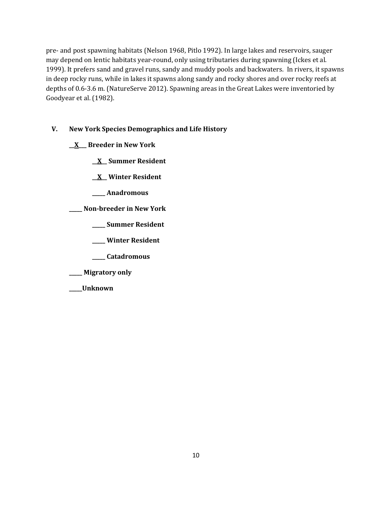pre- and post spawning habitats (Nelson 1968, Pitlo 1992). In large lakes and reservoirs, sauger may depend on lentic habitats year-round, only using tributaries during spawning (Ickes et al. 1999). It prefers sand and gravel runs, sandy and muddy pools and backwaters. In rivers, it spawns in deep rocky runs, while in lakes it spawns along sandy and rocky shores and over rocky reefs at depths of 0.6-3.6 m. (NatureServe 2012). Spawning areas in the Great Lakes were inventoried by Goodyear et al. (1982).

# **V. New York Species Demographics and Life History**

**\_\_X\_\_\_ Breeder in New York**

**\_\_X\_\_ Summer Resident**

**\_\_X\_\_ Winter Resident**

**\_\_\_\_\_ Anadromous**

**\_\_\_\_\_ Non-breeder in New York**

**\_\_\_\_\_ Summer Resident**

**\_\_\_\_\_ Winter Resident**

**\_\_\_\_\_ Catadromous**

**\_\_\_\_\_ Migratory only**

**\_\_\_\_\_Unknown**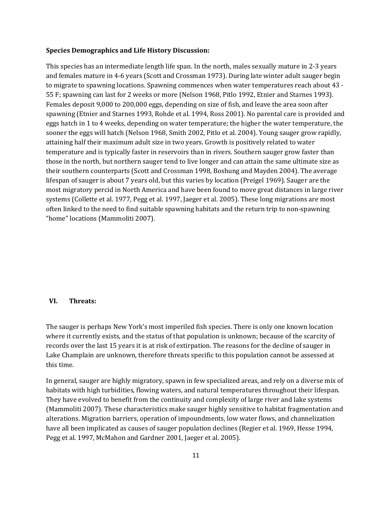#### **Species Demographics and Life History Discussion:**

This species has an intermediate length life span. In the north, males sexually mature in 2-3 years and females mature in 4-6 years (Scott and Crossman 1973). During late winter adult sauger begin to migrate to spawning locations. Spawning commences when water temperatures reach about 43 - 55 F; spawning can last for 2 weeks or more (Nelson 1968, Pitlo 1992, Etnier and Starnes 1993). Females deposit 9,000 to 200,000 eggs, depending on size of fish, and leave the area soon after spawning (Etnier and Starnes 1993, Rohde et al. 1994, Ross 2001). No parental care is provided and eggs hatch in 1 to 4 weeks, depending on water temperature; the higher the water temperature, the sooner the eggs will hatch (Nelson 1968, Smith 2002, Pitlo et al. 2004). Young sauger grow rapidly, attaining half their maximum adult size in two years. Growth is positively related to water temperature and is typically faster in reservoirs than in rivers. Southern sauger grow faster than those in the north, but northern sauger tend to live longer and can attain the same ultimate size as their southern counterparts (Scott and Crossman 1998, Boshung and Mayden 2004). The average lifespan of sauger is about 7 years old, but this varies by location (Preigel 1969). Sauger are the most migratory percid in North America and have been found to move great distances in large river systems (Collette et al. 1977, Pegg et al. 1997, Jaeger et al. 2005). These long migrations are most often linked to the need to find suitable spawning habitats and the return trip to non-spawning "home" locations (Mammoliti 2007).

#### **VI. Threats:**

The sauger is perhaps New York's most imperiled fish species. There is only one known location where it currently exists, and the status of that population is unknown; because of the scarcity of records over the last 15 years it is at risk of extirpation. The reasons for the decline of sauger in Lake Champlain are unknown, therefore threats specific to this population cannot be assessed at this time.

In general, sauger are highly migratory, spawn in few specialized areas, and rely on a diverse mix of habitats with high turbidities, flowing waters, and natural temperatures throughout their lifespan. They have evolved to benefit from the continuity and complexity of large river and lake systems (Mammoliti 2007). These characteristics make sauger highly sensitive to habitat fragmentation and alterations. Migration barriers, operation of impoundments, low water flows, and channelization have all been implicated as causes of sauger population declines (Regier et al. 1969, Hesse 1994, Pegg et al. 1997, McMahon and Gardner 2001, Jaeger et al. 2005).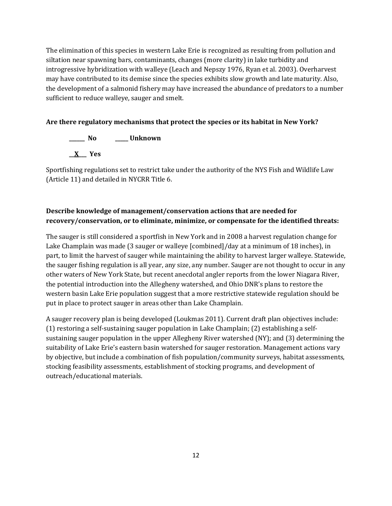The elimination of this species in western Lake Erie is recognized as resulting from pollution and siltation near spawning bars, contaminants, changes (more clarity) in lake turbidity and introgressive hybridization with walleye (Leach and Nepszy 1976, Ryan et al. 2003). Overharvest may have contributed to its demise since the species exhibits slow growth and late maturity. Also, the development of a salmonid fishery may have increased the abundance of predators to a number sufficient to reduce walleye, sauger and smelt.

# **Are there regulatory mechanisms that protect the species or its habitat in New York?**

**\_\_\_\_\_\_ No \_\_\_\_\_ Unknown \_\_X\_\_\_ Yes** 

Sportfishing regulations set to restrict take under the authority of the NYS Fish and Wildlife Law (Article 11) and detailed in NYCRR Title 6.

# **Describe knowledge of management/conservation actions that are needed for recovery/conservation, or to eliminate, minimize, or compensate for the identified threats:**

The sauger is still considered a sportfish in New York and in 2008 a harvest regulation change for Lake Champlain was made (3 sauger or walleye [combined]/day at a minimum of 18 inches), in part, to limit the harvest of sauger while maintaining the ability to harvest larger walleye. Statewide, the sauger fishing regulation is all year, any size, any number. Sauger are not thought to occur in any other waters of New York State, but recent anecdotal angler reports from the lower Niagara River, the potential introduction into the Allegheny watershed, and Ohio DNR's plans to restore the western basin Lake Erie population suggest that a more restrictive statewide regulation should be put in place to protect sauger in areas other than Lake Champlain.

A sauger recovery plan is being developed (Loukmas 2011). Current draft plan objectives include: (1) restoring a self-sustaining sauger population in Lake Champlain; (2) establishing a selfsustaining sauger population in the upper Allegheny River watershed (NY); and (3) determining the suitability of Lake Erie's eastern basin watershed for sauger restoration. Management actions vary by objective, but include a combination of fish population/community surveys, habitat assessments, stocking feasibility assessments, establishment of stocking programs, and development of outreach/educational materials.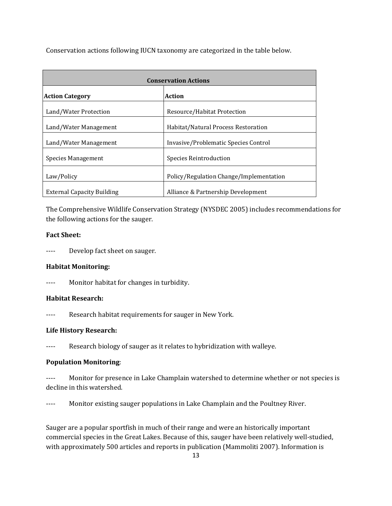Conservation actions following IUCN taxonomy are categorized in the table below.

| <b>Conservation Actions</b>       |                                         |  |  |
|-----------------------------------|-----------------------------------------|--|--|
| <b>Action Category</b>            | <b>Action</b>                           |  |  |
| Land/Water Protection             | Resource/Habitat Protection             |  |  |
| Land/Water Management             | Habitat/Natural Process Restoration     |  |  |
| Land/Water Management             | Invasive/Problematic Species Control    |  |  |
| Species Management                | Species Reintroduction                  |  |  |
| Law/Policy                        | Policy/Regulation Change/Implementation |  |  |
| <b>External Capacity Building</b> | Alliance & Partnership Development      |  |  |

The Comprehensive Wildlife Conservation Strategy (NYSDEC 2005) includes recommendations for the following actions for the sauger.

# **Fact Sheet:**

---- Develop fact sheet on sauger.

# **Habitat Monitoring:**

---- Monitor habitat for changes in turbidity.

#### **Habitat Research:**

---- Research habitat requirements for sauger in New York.

# **Life History Research:**

---- Research biology of sauger as it relates to hybridization with walleye.

# **Population Monitoring**:

---- Monitor for presence in Lake Champlain watershed to determine whether or not species is decline in this watershed.

---- Monitor existing sauger populations in Lake Champlain and the Poultney River.

Sauger are a popular sportfish in much of their range and were an historically important commercial species in the Great Lakes. Because of this, sauger have been relatively well-studied, with approximately 500 articles and reports in publication (Mammoliti 2007). Information is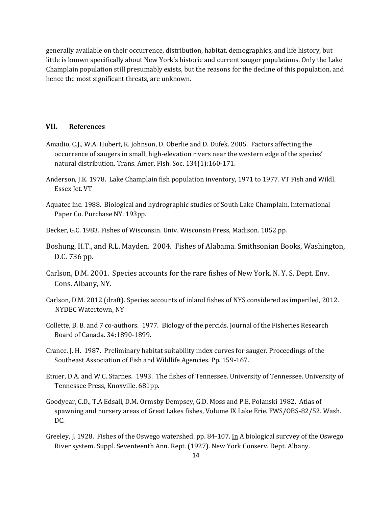generally available on their occurrence, distribution, habitat, demographics, and life history, but little is known specifically about New York's historic and current sauger populations. Only the Lake Champlain population still presumably exists, but the reasons for the decline of this population, and hence the most significant threats, are unknown.

# **VII. References**

- Amadio, C.J., W.A. Hubert, K. Johnson, D. Oberlie and D. Dufek. 2005. Factors affecting the occurrence of saugers in small, high-elevation rivers near the western edge of the species' natural distribution. Trans. Amer. Fish. Soc. 134(1):160-171.
- Anderson, J.K. 1978. Lake Champlain fish population inventory, 1971 to 1977. VT Fish and Wildl. Essex Jct. VT
- Aquatec Inc. 1988. Biological and hydrographic studies of South Lake Champlain. International Paper Co. Purchase NY. 193pp.
- Becker, G.C. 1983. Fishes of Wisconsin. Univ. Wisconsin Press, Madison. 1052 pp.
- Boshung, H.T., and R.L. Mayden. 2004. Fishes of Alabama. Smithsonian Books, Washington, D.C. 736 pp.
- Carlson, D.M. 2001. Species accounts for the rare fishes of New York. N. Y. S. Dept. Env. Cons. Albany, NY.
- Carlson, D.M. 2012 (draft). Species accounts of inland fishes of NYS considered as imperiled, 2012. NYDEC Watertown, NY
- Collette, B. B. and 7 co-authors. 1977. Biology of the percids. Journal of the Fisheries Research Board of Canada. 34:1890-1899.
- Crance. J. H. 1987. Preliminary habitat suitability index curves for sauger. Proceedings of the Southeast Association of Fish and Wildlife Agencies. Pp. 159-167.
- Etnier, D.A. and W.C. Starnes. 1993. The fishes of Tennessee. University of Tennessee. University of Tennessee Press, Knoxville. 681pp.
- Goodyear, C.D., T.A Edsall, D.M. Ormsby Dempsey, G.D. Moss and P.E. Polanski 1982. Atlas of spawning and nursery areas of Great Lakes fishes, Volume IX Lake Erie. FWS/OBS-82/52. Wash. DC.
- Greeley, J. 1928. Fishes of the Oswego watershed. pp. 84-107. In A biological surcvey of the Oswego River system. Suppl. Seventeenth Ann. Rept. (1927). New York Conserv. Dept. Albany.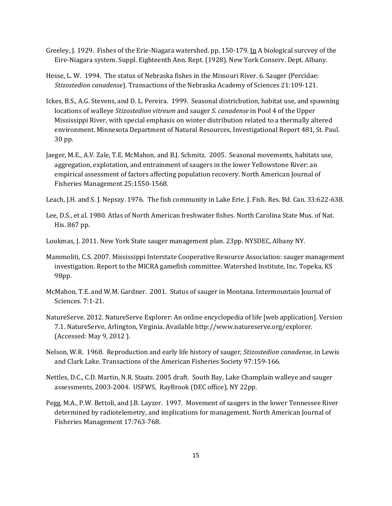- Greeley, J. 1929. Fishes of the Erie-Niagara watershed. pp. 150-179. In A biological surcvey of the Eire-Niagara system. Suppl. Eighteenth Ann. Rept. (1928). New York Conserv. Dept. Albany.
- Hesse, L. W. 1994. The status of Nebraska fishes in the Missouri River. 6. Sauger (Percidae: *Stizostedion canadense*). Transactions of the Nebraska Academy of Sciences 21:109-121.
- Ickes, B.S., A.G. Stevens, and D. L. Pereira. 1999. Seasonal districbution, habitat use, and spawning locations of walleye *Stizostedion vitreum* and sauger *S. canadense* in Pool 4 of the Upper Mississippi River, with special emphasis on winter distribution related to a thermally altered environment. Minnesota Department of Natural Resources, Investigational Report 481, St. Paul. 30 pp.
- Jaeger, M.E., A.V. Zale, T.E. McMahon, and B.J. Schmitz. 2005. Seasonal movements, habitats use, aggregation, explotation, and entrainment of saugers in the lower Yellowstone River: an empirical assessment of factors affecting population recovery. North American Journal of Fisheries Management 25:1550-1568.
- Leach, J.H. and S. J. Nepszy. 1976. The fish community in Lake Erie. J. Fish. Res. Bd. Can. 33:622-638.
- Lee, D.S., et al. 1980. Atlas of North American freshwater fishes. North Carolina State Mus. of Nat. His. 867 pp.
- Loukmas, J. 2011. New York State sauger management plan. 23pp. NYSDEC, Albany NY.
- Mammoliti, C.S. 2007. Mississippi Interstate Cooperative Resource Association: sauger management investigation. Report to the MICRA gamefish committee. Watershed Institute, Inc. Topeka, KS 98pp.
- McMahon, T.E. and W.M. Gardner. 2001. Status of sauger in Montana. Intermountain Journal of Sciences. 7:1-21.
- NatureServe. 2012. NatureServe Explorer: An online encyclopedia of life [web application]. Version 7.1. NatureServe, Arlington, Virginia. Available http://www.natureserve.org/explorer. (Accessed: May 9, 2012 ).
- Nelson, W.R. 1968. Reproduction and early life history of sauger, *Stizostedion canadense*, in Lewis and Clark Lake. Transactions of the American Fisheries Society 97:159-166.
- Nettles, D.C., C.D. Martin, N.R. Staats. 2005 draft. South Bay, Lake Champlain walleye and sauger assessments, 2003-2004. USFWS, RayBrook (DEC office), NY 22pp.
- Pegg, M.A., P.W. Bettoli, and J.B. Layzer. 1997. Movement of saugers in the lower Tennessee River determined by radiotelemetry, and implications for management. North American Journal of Fisheries Management 17:763-768.